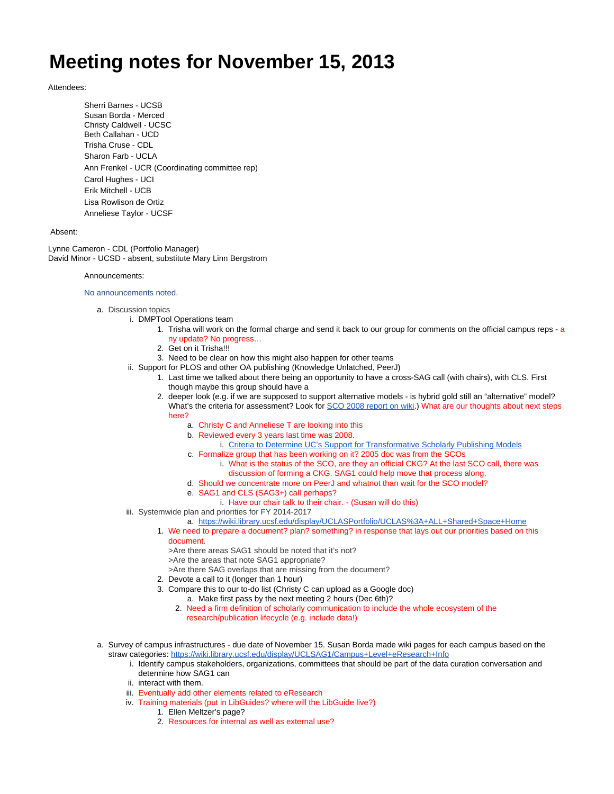## **Meeting notes for November 15, 2013**

## Attendees:

Sherri Barnes - UCSB Susan Borda - Merced Christy Caldwell - UCSC Beth Callahan - UCD Trisha Cruse - CDL Sharon Farb - UCLA Ann Frenkel - UCR (Coordinating committee rep) Carol Hughes - UCI Erik Mitchell - UCB Lisa Rowlison de Ortiz Anneliese Taylor - UCSF

## Absent:

Lynne Cameron - CDL (Portfolio Manager) David Minor - UCSD - absent, substitute Mary Linn Bergstrom

## Announcements:

No announcements noted.

- a. Discussion topics
	- i. DMPTool Operations team
		- 1. Trisha will work on the formal charge and send it back to our group for comments on the official campus reps a ny update? No progress…
		- 2. Get on it Trisha!!!
		- 3. Need to be clear on how this might also happen for other teams
		- ii. Support for PLOS and other OA publishing (Knowledge Unlatched, PeerJ)
			- 1. Last time we talked about there being an opportunity to have a cross-SAG call (with chairs), with CLS. First though maybe this group should have a
			- 2. deeper look (e.g. if we are supposed to support alternative models is hybrid gold still an "alternative" model? What's the criteria for assessment? Look for [SCO 2008 report on wiki](https://wiki.library.ucsf.edu/download/attachments/100597764/Criteria%20to%20determine%20UC%27s%20support%20for%20transformative%20models%202008.doc?version=1&modificationDate=1383330876000&api=v2).) What are our thoughts about next steps here?
				- a. Christy C and Anneliese T are looking into this
				- b. Reviewed every 3 years last time was 2008.
					- i. [Criteria to Determine UC's Support for Transformative Scholarly Publishing Models](https://wiki.library.ucsf.edu/download/attachments/100597764/Criteria%20to%20determine%20UC%27s%20support%20for%20transformative%20models%202008.doc?version=1&modificationDate=1383330876000&api=v2)
				- c. Formalize group that has been working on it? 2005 doc was from the SCOs
					- i. What is the status of the SCO, are they an official CKG? At the last SCO call, there was discussion of forming a CKG. SAG1 could help move that process along.
				- d. Should we concentrate more on PeerJ and whatnot than wait for the SCO model?
				- e. SAG1 and CLS (SAG3+) call perhaps?
					- i. Have our chair talk to their chair. (Susan will do this)
		- iii. Systemwide plan and priorities for FY 2014-2017
			- a. <https://wiki.library.ucsf.edu/display/UCLASPortfolio/UCLAS%3A+ALL+Shared+Space+Home>
			- 1. We need to prepare a document? plan? something? in response that lays out our priorities based on this document.
				- >Are there areas SAG1 should be noted that it's not?
				- >Are the areas that note SAG1 appropriate?
				- >Are there SAG overlaps that are missing from the document?
			- 2. Devote a call to it (longer than 1 hour)
			- 3. Compare this to our to-do list (Christy C can upload as a Google doc)
				- a. Make first pass by the next meeting 2 hours (Dec 6th)?
				- 2. Need a firm definition of scholarly communication to include the whole ecosystem of the research/publication lifecycle (e.g. include data!)
- a. Survey of campus infrastructures due date of November 15. Susan Borda made wiki pages for each campus based on the straw categories: <https://wiki.library.ucsf.edu/display/UCLSAG1/Campus+Level+eResearch+Info>
	- i. Identify campus stakeholders, organizations, committees that should be part of the data curation conversation and determine how SAG1 can
	- ii. interact with them.
	- iii. Eventually add other elements related to eResearch
	- iv. Training materials (put in LibGuides? where will the LibGuide live?)
		- 1. Ellen Meltzer's page?
		- 2. Resources for internal as well as external use?